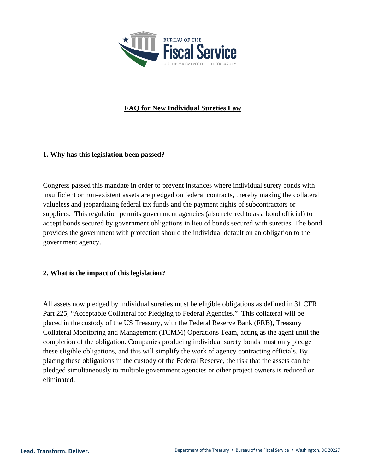

# **FAQ for New Individual Sureties Law**

#### **1. Why has this legislation been passed?**

Congress passed this mandate in order to prevent instances where individual surety bonds with insufficient or non-existent assets are pledged on federal contracts, thereby making the collateral valueless and jeopardizing federal tax funds and the payment rights of subcontractors or suppliers. This regulation permits government agencies (also referred to as a bond official) to accept bonds secured by government obligations in lieu of bonds secured with sureties. The bond provides the government with protection should the individual default on an obligation to the government agency.

### **2. What is the impact of this legislation?**

All assets now pledged by individual sureties must be eligible obligations as defined in 31 CFR Part 225, "Acceptable Collateral for Pledging to Federal Agencies." This collateral will be placed in the custody of the US Treasury, with the Federal Reserve Bank (FRB), Treasury Collateral Monitoring and Management (TCMM) Operations Team, acting as the agent until the completion of the obligation. Companies producing individual surety bonds must only pledge these eligible obligations, and this will simplify the work of agency contracting officials. By placing these obligations in the custody of the Federal Reserve, the risk that the assets can be pledged simultaneously to multiple government agencies or other project owners is reduced or eliminated.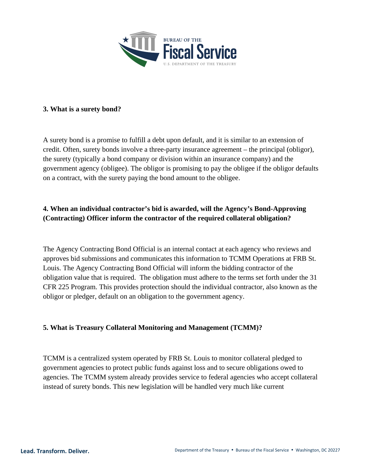

#### **3. What is a surety bond?**

A surety bond is a promise to fulfill a debt upon default, and it is similar to an extension of credit. Often, surety bonds involve a three-party insurance agreement – the principal (obligor), the surety (typically a bond company or division within an insurance company) and the government agency (obligee). The obligor is promising to pay the obligee if the obligor defaults on a contract, with the surety paying the bond amount to the obligee.

## **4. When an individual contractor's bid is awarded, will the Agency's Bond-Approving (Contracting) Officer inform the contractor of the required collateral obligation?**

The Agency Contracting Bond Official is an internal contact at each agency who reviews and approves bid submissions and communicates this information to TCMM Operations at FRB St. Louis. The Agency Contracting Bond Official will inform the bidding contractor of the obligation value that is required. The obligation must adhere to the terms set forth under the 31 CFR 225 Program. This provides protection should the individual contractor, also known as the obligor or pledger, default on an obligation to the government agency.

### **5. What is Treasury Collateral Monitoring and Management (TCMM)?**

TCMM is a centralized system operated by FRB St. Louis to monitor collateral pledged to government agencies to protect public funds against loss and to secure obligations owed to agencies. The TCMM system already provides service to federal agencies who accept collateral instead of surety bonds. This new legislation will be handled very much like current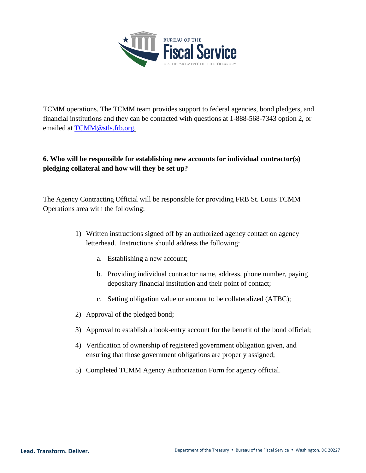

TCMM operations. The TCMM team provides support to federal agencies, bond pledgers, and financial institutions and they can be contacted with questions at 1-888-568-7343 option 2, or emailed at [TCMM@stls.frb.org.](mailto:TCMM@stls.frb.org)

## **6. Who will be responsible for establishing new accounts for individual contractor(s) pledging collateral and how will they be set up?**

The Agency Contracting Official will be responsible for providing FRB St. Louis TCMM Operations area with the following:

- 1) Written instructions signed off by an authorized agency contact on agency letterhead. Instructions should address the following:
	- a. Establishing a new account;
	- b. Providing individual contractor name, address, phone number, paying depositary financial institution and their point of contact;
	- c. Setting obligation value or amount to be collateralized (ATBC);
- 2) Approval of the pledged bond;
- 3) Approval to establish a book-entry account for the benefit of the bond official;
- 4) Verification of ownership of registered government obligation given, and ensuring that those government obligations are properly assigned;
- 5) Completed TCMM Agency Authorization Form for agency official.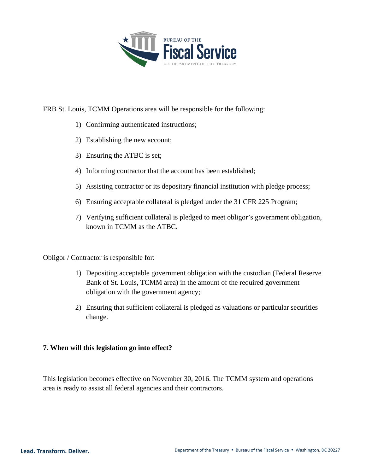

FRB St. Louis, TCMM Operations area will be responsible for the following:

- 1) Confirming authenticated instructions;
- 2) Establishing the new account;
- 3) Ensuring the ATBC is set;
- 4) Informing contractor that the account has been established;
- 5) Assisting contractor or its depositary financial institution with pledge process;
- 6) Ensuring acceptable collateral is pledged under the 31 CFR 225 Program;
- 7) Verifying sufficient collateral is pledged to meet obligor's government obligation, known in TCMM as the ATBC.

Obligor / Contractor is responsible for:

- 1) Depositing acceptable government obligation with the custodian (Federal Reserve Bank of St. Louis, TCMM area) in the amount of the required government obligation with the government agency;
- 2) Ensuring that sufficient collateral is pledged as valuations or particular securities change.

### **7. When will this legislation go into effect?**

This legislation becomes effective on November 30, 2016. The TCMM system and operations area is ready to assist all federal agencies and their contractors.